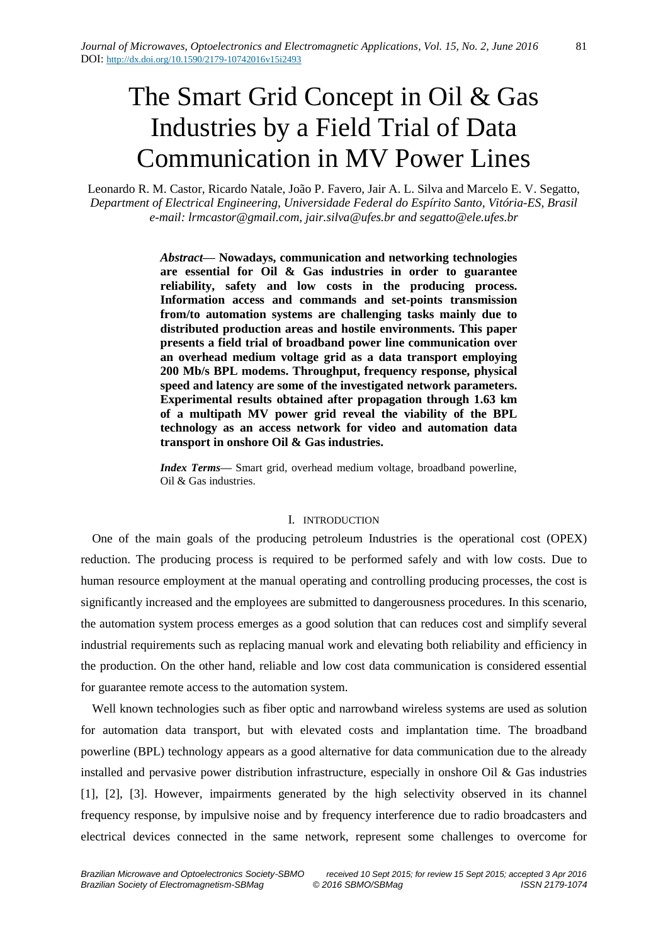# The Smart Grid Concept in Oil & Gas Industries by a Field Trial of Data Communication in MV Power Lines

Leonardo R. M. Castor, Ricardo Natale, João P. Favero, Jair A. L. Silva and Marcelo E. V. Segatto, *Department of Electrical Engineering, Universidade Federal do Espírito Santo, Vitória-ES, Brasil e-mail: lrmcastor@gmail.com, jair.silva@ufes.br and segatto@ele.ufes.br*

> *Abstract***— Nowadays, communication and networking technologies are essential for Oil & Gas industries in order to guarantee reliability, safety and low costs in the producing process. Information access and commands and set-points transmission from/to automation systems are challenging tasks mainly due to distributed production areas and hostile environments. This paper presents a field trial of broadband power line communication over an overhead medium voltage grid as a data transport employing 200 Mb/s BPL modems. Throughput, frequency response, physical speed and latency are some of the investigated network parameters. Experimental results obtained after propagation through 1.63 km of a multipath MV power grid reveal the viability of the BPL technology as an access network for video and automation data transport in onshore Oil & Gas industries.**

> *Index Terms***—** Smart grid, overhead medium voltage, broadband powerline, Oil & Gas industries.

#### I. INTRODUCTION

One of the main goals of the producing petroleum Industries is the operational cost (OPEX) reduction. The producing process is required to be performed safely and with low costs. Due to human resource employment at the manual operating and controlling producing processes, the cost is significantly increased and the employees are submitted to dangerousness procedures. In this scenario, the automation system process emerges as a good solution that can reduces cost and simplify several industrial requirements such as replacing manual work and elevating both reliability and efficiency in the production. On the other hand, reliable and low cost data communication is considered essential for guarantee remote access to the automation system.

Well known technologies such as fiber optic and narrowband wireless systems are used as solution for automation data transport, but with elevated costs and implantation time. The broadband powerline (BPL) technology appears as a good alternative for data communication due to the already installed and pervasive power distribution infrastructure, especially in onshore Oil & Gas industries [1], [2], [3]. However, impairments generated by the high selectivity observed in its channel frequency response, by impulsive noise and by frequency interference due to radio broadcasters and electrical devices connected in the same network, represent some challenges to overcome for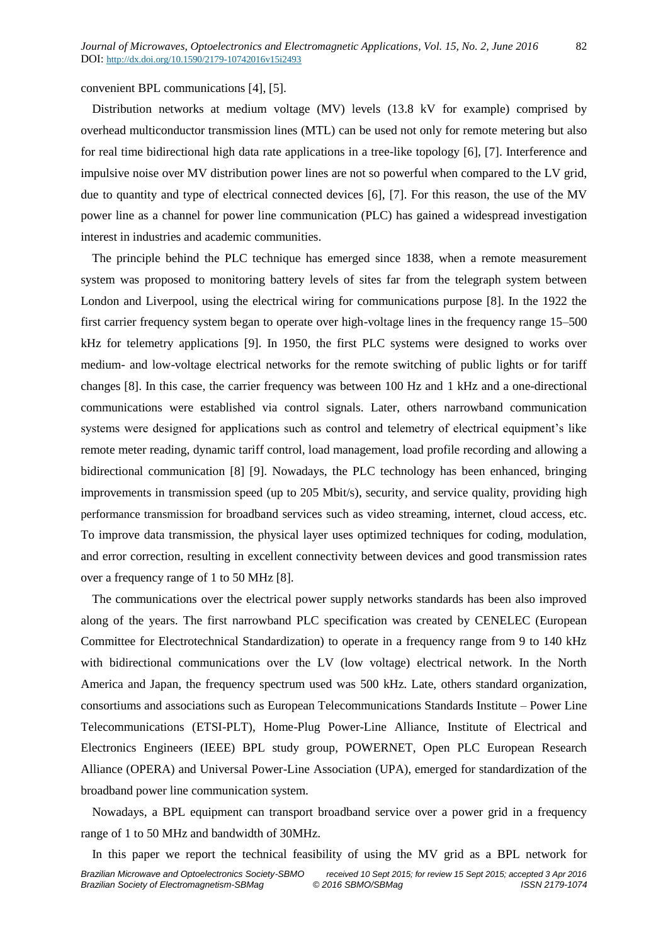convenient BPL communications [4], [5].

Distribution networks at medium voltage (MV) levels (13.8 kV for example) comprised by overhead multiconductor transmission lines (MTL) can be used not only for remote metering but also for real time bidirectional high data rate applications in a tree-like topology [6], [7]. Interference and impulsive noise over MV distribution power lines are not so powerful when compared to the LV grid, due to quantity and type of electrical connected devices [6], [7]. For this reason, the use of the MV power line as a channel for power line communication (PLC) has gained a widespread investigation interest in industries and academic communities.

The principle behind the PLC technique has emerged since 1838, when a remote measurement system was proposed to monitoring battery levels of sites far from the telegraph system between London and Liverpool, using the electrical wiring for communications purpose [8]. In the 1922 the first carrier frequency system began to operate over high-voltage lines in the frequency range 15–500 kHz for telemetry applications [9]. In 1950, the first PLC systems were designed to works over medium- and low-voltage electrical networks for the remote switching of public lights or for tariff changes [8]. In this case, the carrier frequency was between 100 Hz and 1 kHz and a one-directional communications were established via control signals. Later, others narrowband communication systems were designed for applications such as control and telemetry of electrical equipment's like remote meter reading, dynamic tariff control, load management, load profile recording and allowing a bidirectional communication [8] [9]. Nowadays, the PLC technology has been enhanced, bringing improvements in transmission speed (up to 205 Mbit/s), security, and service quality, providing high performance transmission for broadband services such as video streaming, internet, cloud access, etc. To improve data transmission, the physical layer uses optimized techniques for coding, modulation, and error correction, resulting in excellent connectivity between devices and good transmission rates over a frequency range of 1 to 50 MHz [8].

The communications over the electrical power supply networks standards has been also improved along of the years. The first narrowband PLC specification was created by CENELEC (European Committee for Electrotechnical Standardization) to operate in a frequency range from 9 to 140 kHz with bidirectional communications over the LV (low voltage) electrical network. In the North America and Japan, the frequency spectrum used was 500 kHz. Late, others standard organization, consortiums and associations such as European Telecommunications Standards Institute – Power Line Telecommunications (ETSI-PLT), Home-Plug Power-Line Alliance, Institute of Electrical and Electronics Engineers (IEEE) BPL study group, POWERNET, Open PLC European Research Alliance (OPERA) and Universal Power-Line Association (UPA), emerged for standardization of the broadband power line communication system.

Nowadays, a BPL equipment can transport broadband service over a power grid in a frequency range of 1 to 50 MHz and bandwidth of 30MHz.

In this paper we report the technical feasibility of using the MV grid as a BPL network for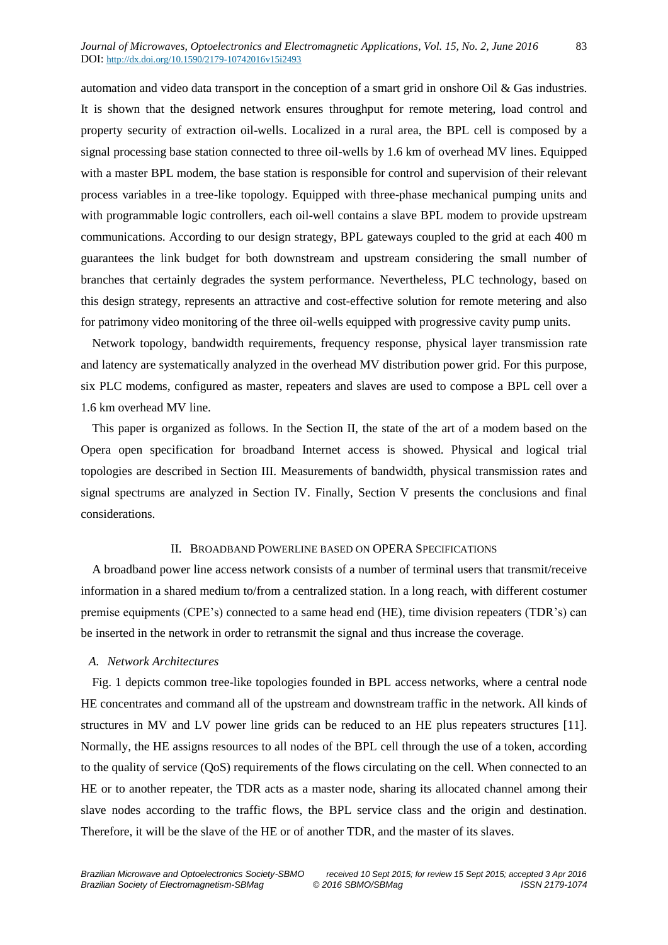automation and video data transport in the conception of a smart grid in onshore Oil & Gas industries. It is shown that the designed network ensures throughput for remote metering, load control and property security of extraction oil-wells. Localized in a rural area, the BPL cell is composed by a signal processing base station connected to three oil-wells by 1.6 km of overhead MV lines. Equipped with a master BPL modem, the base station is responsible for control and supervision of their relevant process variables in a tree-like topology. Equipped with three-phase mechanical pumping units and with programmable logic controllers, each oil-well contains a slave BPL modem to provide upstream communications. According to our design strategy, BPL gateways coupled to the grid at each 400 m guarantees the link budget for both downstream and upstream considering the small number of branches that certainly degrades the system performance. Nevertheless, PLC technology, based on this design strategy, represents an attractive and cost-effective solution for remote metering and also for patrimony video monitoring of the three oil-wells equipped with progressive cavity pump units.

Network topology, bandwidth requirements, frequency response, physical layer transmission rate and latency are systematically analyzed in the overhead MV distribution power grid. For this purpose, six PLC modems, configured as master, repeaters and slaves are used to compose a BPL cell over a 1.6 km overhead MV line.

This paper is organized as follows. In the Section II, the state of the art of a modem based on the Opera open specification for broadband Internet access is showed. Physical and logical trial topologies are described in Section III. Measurements of bandwidth, physical transmission rates and signal spectrums are analyzed in Section IV. Finally, Section V presents the conclusions and final considerations.

# II. BROADBAND POWERLINE BASED ON OPERA SPECIFICATIONS

A broadband power line access network consists of a number of terminal users that transmit/receive information in a shared medium to/from a centralized station. In a long reach, with different costumer premise equipments (CPE's) connected to a same head end (HE), time division repeaters (TDR's) can be inserted in the network in order to retransmit the signal and thus increase the coverage.

### *A. Network Architectures*

Fig. 1 depicts common tree-like topologies founded in BPL access networks, where a central node HE concentrates and command all of the upstream and downstream traffic in the network. All kinds of structures in MV and LV power line grids can be reduced to an HE plus repeaters structures [11]. Normally, the HE assigns resources to all nodes of the BPL cell through the use of a token, according to the quality of service (QoS) requirements of the flows circulating on the cell. When connected to an HE or to another repeater, the TDR acts as a master node, sharing its allocated channel among their slave nodes according to the traffic flows, the BPL service class and the origin and destination. Therefore, it will be the slave of the HE or of another TDR, and the master of its slaves.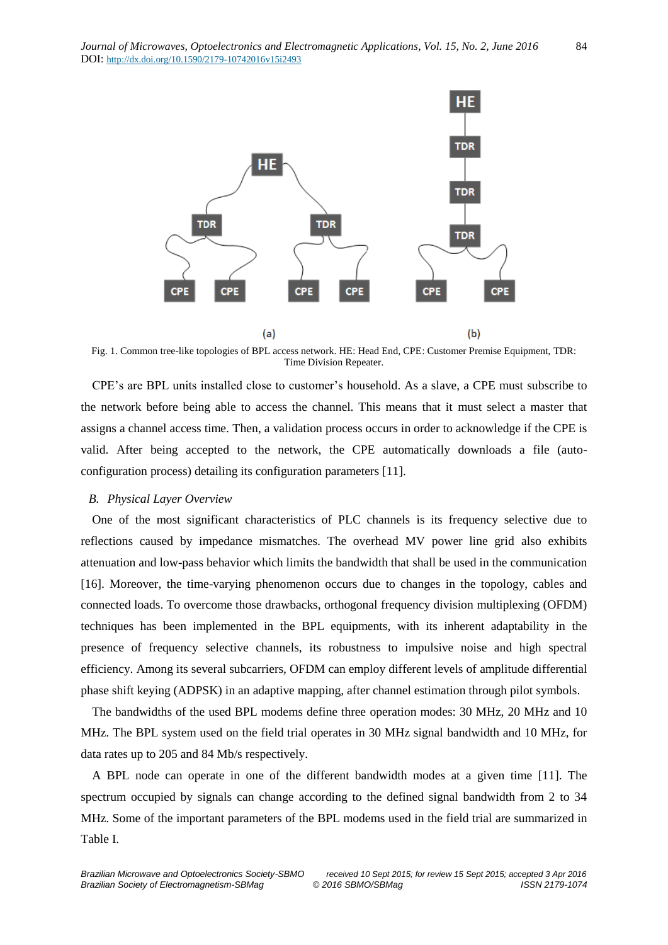

Fig. 1. Common tree-like topologies of BPL access network. HE: Head End, CPE: Customer Premise Equipment, TDR: Time Division Repeater.

CPE's are BPL units installed close to customer's household. As a slave, a CPE must subscribe to the network before being able to access the channel. This means that it must select a master that assigns a channel access time. Then, a validation process occurs in order to acknowledge if the CPE is valid. After being accepted to the network, the CPE automatically downloads a file (autoconfiguration process) detailing its configuration parameters [11].

## *B. Physical Layer Overview*

One of the most significant characteristics of PLC channels is its frequency selective due to reflections caused by impedance mismatches. The overhead MV power line grid also exhibits attenuation and low-pass behavior which limits the bandwidth that shall be used in the communication [16]. Moreover, the time-varying phenomenon occurs due to changes in the topology, cables and connected loads. To overcome those drawbacks, orthogonal frequency division multiplexing (OFDM) techniques has been implemented in the BPL equipments, with its inherent adaptability in the presence of frequency selective channels, its robustness to impulsive noise and high spectral efficiency. Among its several subcarriers, OFDM can employ different levels of amplitude differential phase shift keying (ADPSK) in an adaptive mapping, after channel estimation through pilot symbols.

The bandwidths of the used BPL modems define three operation modes: 30 MHz, 20 MHz and 10 MHz. The BPL system used on the field trial operates in 30 MHz signal bandwidth and 10 MHz, for data rates up to 205 and 84 Mb/s respectively.

A BPL node can operate in one of the different bandwidth modes at a given time [11]. The spectrum occupied by signals can change according to the defined signal bandwidth from 2 to 34 MHz. Some of the important parameters of the BPL modems used in the field trial are summarized in Table I.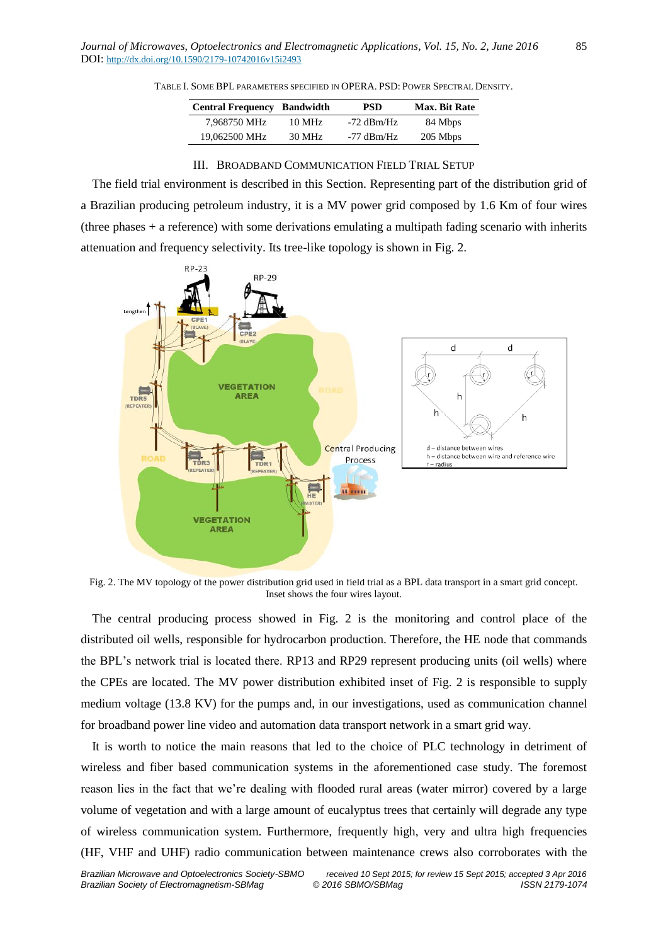| <b>Central Frequency Bandwidth</b> |        | <b>PSD</b>   | <b>Max. Bit Rate</b> |
|------------------------------------|--------|--------------|----------------------|
| 7.968750 MHz                       | 10 MHz | $-72$ dBm/Hz | 84 Mbps              |
| 19,062500 MHz                      | 30 MHz | $-77$ dBm/Hz | 205 Mbps             |

## III. BROADBAND COMMUNICATION FIELD TRIAL SETUP

The field trial environment is described in this Section. Representing part of the distribution grid of a Brazilian producing petroleum industry, it is a MV power grid composed by 1.6 Km of four wires (three phases + a reference) with some derivations emulating a multipath fading scenario with inherits attenuation and frequency selectivity. Its tree-like topology is shown in Fig. 2.



Fig. 2. The MV topology of the power distribution grid used in field trial as a BPL data transport in a smart grid concept. Inset shows the four wires layout.

The central producing process showed in Fig. 2 is the monitoring and control place of the distributed oil wells, responsible for hydrocarbon production. Therefore, the HE node that commands the BPL's network trial is located there. RP13 and RP29 represent producing units (oil wells) where the CPEs are located. The MV power distribution exhibited inset of Fig. 2 is responsible to supply medium voltage (13.8 KV) for the pumps and, in our investigations, used as communication channel for broadband power line video and automation data transport network in a smart grid way.

It is worth to notice the main reasons that led to the choice of PLC technology in detriment of wireless and fiber based communication systems in the aforementioned case study. The foremost reason lies in the fact that we're dealing with flooded rural areas (water mirror) covered by a large volume of vegetation and with a large amount of eucalyptus trees that certainly will degrade any type of wireless communication system. Furthermore, frequently high, very and ultra high frequencies (HF, VHF and UHF) radio communication between maintenance crews also corroborates with the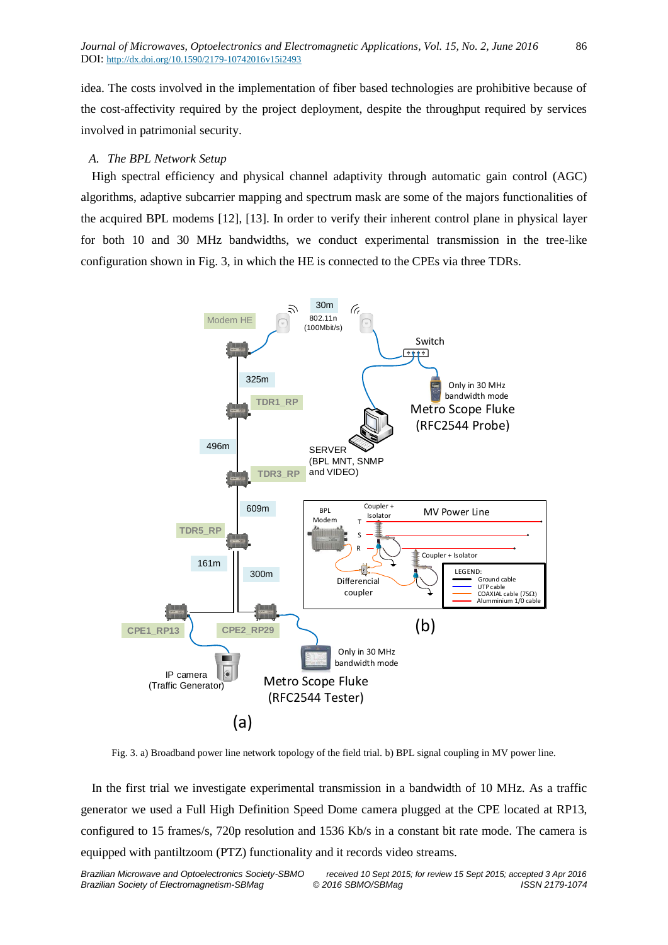*Journal of Microwaves, Optoelectronics and Electromagnetic Applications, Vol. 15, No. 2, June 2016* DOI: <http://dx.doi.org/10.1590/2179-10742016v15i2493>

idea. The costs involved in the implementation of fiber based technologies are prohibitive because of the cost-affectivity required by the project deployment, despite the throughput required by services involved in patrimonial security.

## *A. The BPL Network Setup*

High spectral efficiency and physical channel adaptivity through automatic gain control (AGC) algorithms, adaptive subcarrier mapping and spectrum mask are some of the majors functionalities of the acquired BPL modems [12], [13]. In order to verify their inherent control plane in physical layer for both 10 and 30 MHz bandwidths, we conduct experimental transmission in the tree-like configuration shown in Fig. 3, in which the HE is connected to the CPEs via three TDRs.



Fig. 3. a) Broadband power line network topology of the field trial. b) BPL signal coupling in MV power line.

In the first trial we investigate experimental transmission in a bandwidth of 10 MHz. As a traffic generator we used a Full High Definition Speed Dome camera plugged at the CPE located at RP13, configured to 15 frames/s, 720p resolution and 1536 Kb/s in a constant bit rate mode. The camera is equipped with pantiltzoom (PTZ) functionality and it records video streams.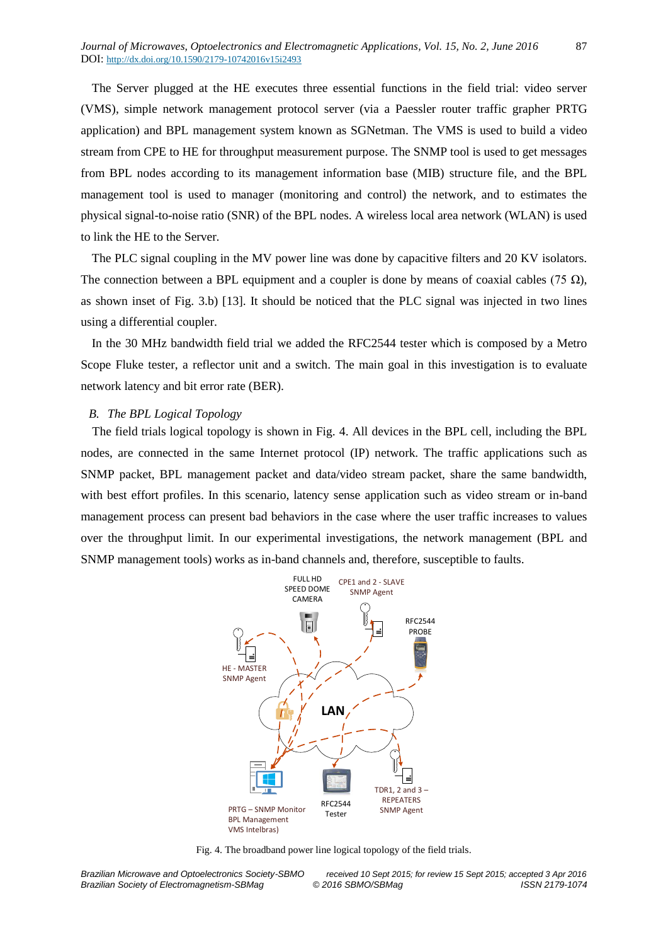The Server plugged at the HE executes three essential functions in the field trial: video server (VMS), simple network management protocol server (via a Paessler router traffic grapher PRTG application) and BPL management system known as SGNetman. The VMS is used to build a video stream from CPE to HE for throughput measurement purpose. The SNMP tool is used to get messages from BPL nodes according to its management information base (MIB) structure file, and the BPL management tool is used to manager (monitoring and control) the network, and to estimates the physical signal-to-noise ratio (SNR) of the BPL nodes. A wireless local area network (WLAN) is used to link the HE to the Server.

The PLC signal coupling in the MV power line was done by capacitive filters and 20 KV isolators. The connection between a BPL equipment and a coupler is done by means of coaxial cables (75  $\Omega$ ), as shown inset of Fig. 3.b) [13]. It should be noticed that the PLC signal was injected in two lines using a differential coupler.

In the 30 MHz bandwidth field trial we added the RFC2544 tester which is composed by a Metro Scope Fluke tester, a reflector unit and a switch. The main goal in this investigation is to evaluate network latency and bit error rate (BER).

# *B. The BPL Logical Topology*

The field trials logical topology is shown in Fig. 4. All devices in the BPL cell, including the BPL nodes, are connected in the same Internet protocol (IP) network. The traffic applications such as SNMP packet, BPL management packet and data/video stream packet, share the same bandwidth, with best effort profiles. In this scenario, latency sense application such as video stream or in-band management process can present bad behaviors in the case where the user traffic increases to values over the throughput limit. In our experimental investigations, the network management (BPL and SNMP management tools) works as in-band channels and, therefore, susceptible to faults.



Fig. 4. The broadband power line logical topology of the field trials.

*Brazilian Microwave and Optoelectronics Society-SBMO received 10 Sept 2015; for review 15 Sept 2015; accepted 3 Apr 2016 Brazilian Society of Electromagnetism-SBMag © 2016 SBMO/SBMag ISSN 2179-1074*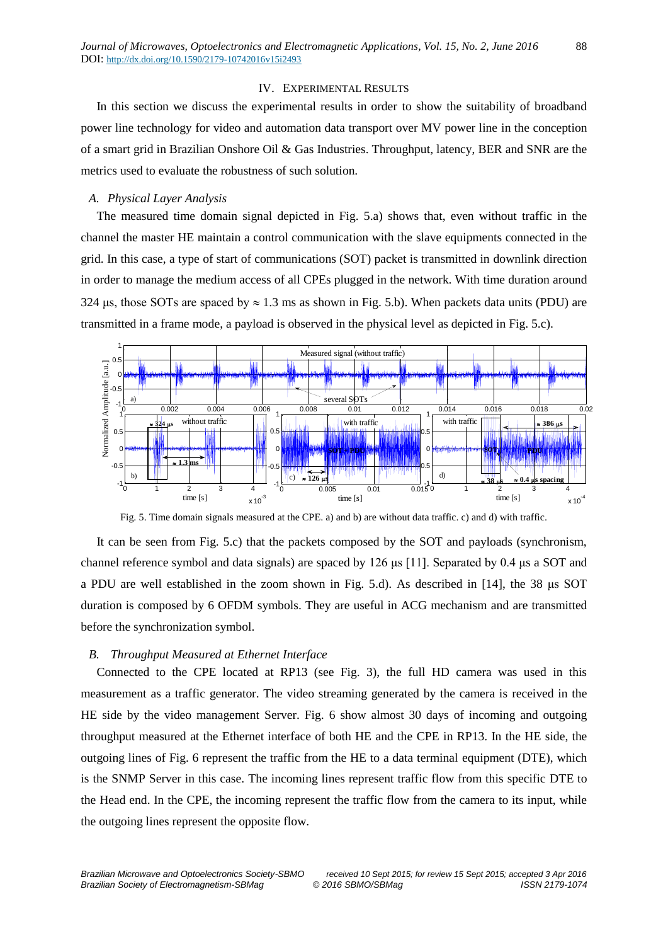## IV. EXPERIMENTAL RESULTS

In this section we discuss the experimental results in order to show the suitability of broadband power line technology for video and automation data transport over MV power line in the conception of a smart grid in Brazilian Onshore Oil & Gas Industries. Throughput, latency, BER and SNR are the metrics used to evaluate the robustness of such solution.

## *A. Physical Layer Analysis*

The measured time domain signal depicted in Fig. 5.a) shows that, even without traffic in the channel the master HE maintain a control communication with the slave equipments connected in the grid. In this case, a type of start of communications (SOT) packet is transmitted in downlink direction in order to manage the medium access of all CPEs plugged in the network. With time duration around 324 μs, those SOTs are spaced by  $\approx 1.3$  ms as shown in Fig. 5.b). When packets data units (PDU) are transmitted in a frame mode, a payload is observed in the physical level as depicted in Fig. 5.c).



Fig. 5. Time domain signals measured at the CPE. a) and b) are without data traffic. c) and d) with traffic.

It can be seen from Fig. 5.c) that the packets composed by the SOT and payloads (synchronism, channel reference symbol and data signals) are spaced by 126 μs [11]. Separated by 0.4 μs a SOT and a PDU are well established in the zoom shown in Fig. 5.d). As described in [14], the 38 μs SOT duration is composed by 6 OFDM symbols. They are useful in ACG mechanism and are transmitted before the synchronization symbol.

#### *B. Throughput Measured at Ethernet Interface*

Connected to the CPE located at RP13 (see Fig. 3), the full HD camera was used in this measurement as a traffic generator. The video streaming generated by the camera is received in the HE side by the video management Server. Fig. 6 show almost 30 days of incoming and outgoing throughput measured at the Ethernet interface of both HE and the CPE in RP13. In the HE side, the outgoing lines of Fig. 6 represent the traffic from the HE to a data terminal equipment (DTE), which is the SNMP Server in this case. The incoming lines represent traffic flow from this specific DTE to the Head end. In the CPE, the incoming represent the traffic flow from the camera to its input, while the outgoing lines represent the opposite flow.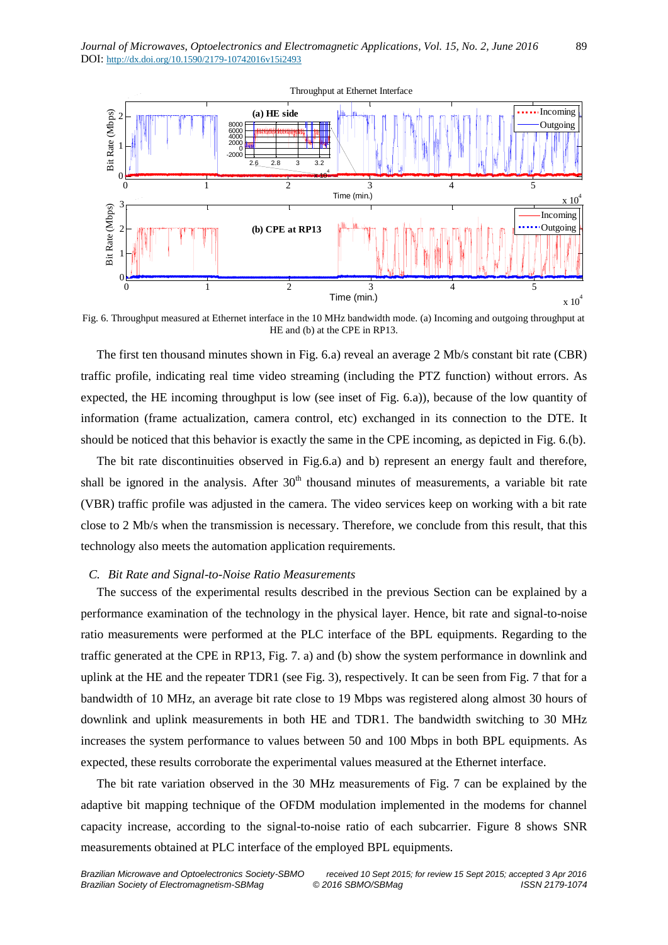

Fig. 6. Throughput measured at Ethernet interface in the 10 MHz bandwidth mode. (a) Incoming and outgoing throughput at HE and (b) at the CPE in RP13.

The first ten thousand minutes shown in Fig. 6.a) reveal an average 2 Mb/s constant bit rate (CBR) traffic profile, indicating real time video streaming (including the PTZ function) without errors. As expected, the HE incoming throughput is low (see inset of Fig. 6.a)), because of the low quantity of information (frame actualization, camera control, etc) exchanged in its connection to the DTE. It should be noticed that this behavior is exactly the same in the CPE incoming, as depicted in Fig. 6.(b).

The bit rate discontinuities observed in Fig.6.a) and b) represent an energy fault and therefore, shall be ignored in the analysis. After  $30<sup>th</sup>$  thousand minutes of measurements, a variable bit rate (VBR) traffic profile was adjusted in the camera. The video services keep on working with a bit rate close to 2 Mb/s when the transmission is necessary. Therefore, we conclude from this result, that this technology also meets the automation application requirements.

# *C. Bit Rate and Signal-to-Noise Ratio Measurements*

The success of the experimental results described in the previous Section can be explained by a performance examination of the technology in the physical layer. Hence, bit rate and signal-to-noise ratio measurements were performed at the PLC interface of the BPL equipments. Regarding to the traffic generated at the CPE in RP13, Fig. 7. a) and (b) show the system performance in downlink and uplink at the HE and the repeater TDR1 (see Fig. 3), respectively. It can be seen from Fig. 7 that for a bandwidth of 10 MHz, an average bit rate close to 19 Mbps was registered along almost 30 hours of downlink and uplink measurements in both HE and TDR1. The bandwidth switching to 30 MHz increases the system performance to values between 50 and 100 Mbps in both BPL equipments. As expected, these results corroborate the experimental values measured at the Ethernet interface.

The bit rate variation observed in the 30 MHz measurements of Fig. 7 can be explained by the adaptive bit mapping technique of the OFDM modulation implemented in the modems for channel capacity increase, according to the signal-to-noise ratio of each subcarrier. Figure 8 shows SNR measurements obtained at PLC interface of the employed BPL equipments.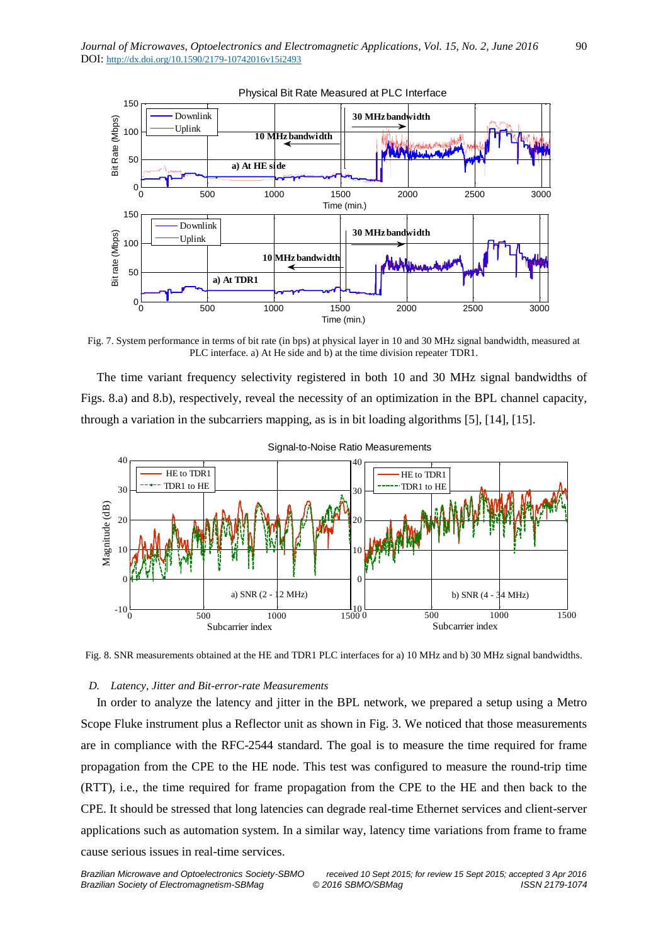

Fig. 7. System performance in terms of bit rate (in bps) at physical layer in 10 and 30 MHz signal bandwidth, measured at PLC interface. a) At He side and b) at the time division repeater TDR1.

The time variant frequency selectivity registered in both 10 and 30 MHz signal bandwidths of Figs. 8.a) and 8.b), respectively, reveal the necessity of an optimization in the BPL channel capacity, through a variation in the subcarriers mapping, as is in bit loading algorithms [5], [14], [15]. tir<br>
a)<br>  $\begin{bmatrix} a \\ a \end{bmatrix}$  $\int f a$ <br>bit<br>tio



Signal-to-Noise Ratio Measurements

Fig. 8. SNR measurements obtained at the HE and TDR1 PLC interfaces for a) 10 MHz and b) 30 MHz signal bandwidths.

#### *D. Latency, Jitter and Bit-error-rate Measurements*

In order to analyze the latency and jitter in the BPL network, we prepared a setup using a Metro Scope Fluke instrument plus a Reflector unit as shown in Fig. 3. We noticed that those measurements are in compliance with the RFC-2544 standard. The goal is to measure the time required for frame propagation from the CPE to the HE node. This test was configured to measure the round-trip time (RTT), i.e., the time required for frame propagation from the CPE to the HE and then back to the CPE. It should be stressed that long latencies can degrade real-time Ethernet services and client-server applications such as automation system. In a similar way, latency time variations from frame to frame cause serious issues in real-time services.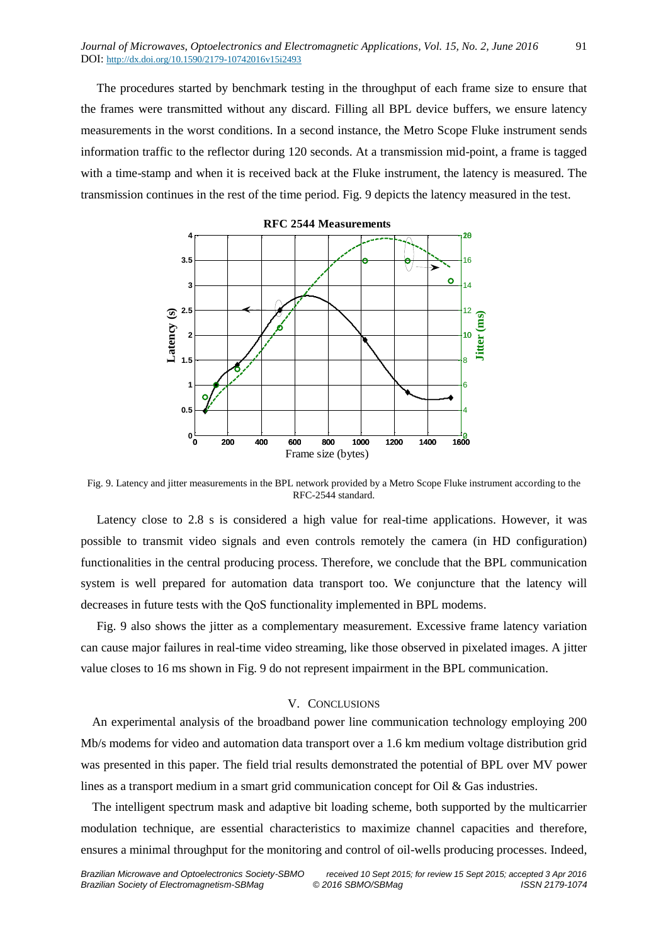The procedures started by benchmark testing in the throughput of each frame size to ensure that the frames were transmitted without any discard. Filling all BPL device buffers, we ensure latency measurements in the worst conditions. In a second instance, the Metro Scope Fluke instrument sends information traffic to the reflector during 120 seconds. At a transmission mid-point, a frame is tagged with a time-stamp and when it is received back at the Fluke instrument, the latency is measured. The transmission continues in the rest of the time period. Fig. 9 depicts the latency measured in the test.



Fig. 9. Latency and jitter measurements in the BPL network provided by a Metro Scope Fluke instrument according to the RFC-2544 standard.

Latency close to 2.8 s is considered a high value for real-time applications. However, it was possible to transmit video signals and even controls remotely the camera (in HD configuration) functionalities in the central producing process. Therefore, we conclude that the BPL communication system is well prepared for automation data transport too. We conjuncture that the latency will decreases in future tests with the QoS functionality implemented in BPL modems.

Fig. 9 also shows the jitter as a complementary measurement. Excessive frame latency variation can cause major failures in real-time video streaming, like those observed in pixelated images. A jitter value closes to 16 ms shown in Fig. 9 do not represent impairment in the BPL communication.

## V. CONCLUSIONS

An experimental analysis of the broadband power line communication technology employing 200 Mb/s modems for video and automation data transport over a 1.6 km medium voltage distribution grid was presented in this paper. The field trial results demonstrated the potential of BPL over MV power lines as a transport medium in a smart grid communication concept for Oil & Gas industries.

The intelligent spectrum mask and adaptive bit loading scheme, both supported by the multicarrier modulation technique, are essential characteristics to maximize channel capacities and therefore, ensures a minimal throughput for the monitoring and control of oil-wells producing processes. Indeed,